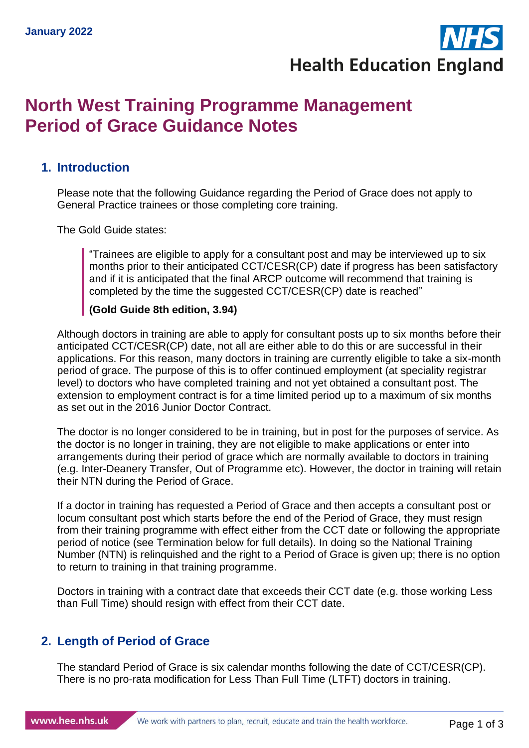**Health Education England** 

## **North West Training Programme Management Period of Grace Guidance Notes**

#### **1. Introduction**

Please note that the following Guidance regarding the Period of Grace does not apply to General Practice trainees or those completing core training.

The Gold Guide states:

"Trainees are eligible to apply for a consultant post and may be interviewed up to six months prior to their anticipated CCT/CESR(CP) date if progress has been satisfactory and if it is anticipated that the final ARCP outcome will recommend that training is completed by the time the suggested CCT/CESR(CP) date is reached"

#### **(Gold Guide 8th edition, 3.94)**

Although doctors in training are able to apply for consultant posts up to six months before their anticipated CCT/CESR(CP) date, not all are either able to do this or are successful in their applications. For this reason, many doctors in training are currently eligible to take a six-month period of grace. The purpose of this is to offer continued employment (at speciality registrar level) to doctors who have completed training and not yet obtained a consultant post. The extension to employment contract is for a time limited period up to a maximum of six months as set out in the 2016 Junior Doctor Contract.

The doctor is no longer considered to be in training, but in post for the purposes of service. As the doctor is no longer in training, they are not eligible to make applications or enter into arrangements during their period of grace which are normally available to doctors in training (e.g. Inter-Deanery Transfer, Out of Programme etc). However, the doctor in training will retain their NTN during the Period of Grace.

If a doctor in training has requested a Period of Grace and then accepts a consultant post or locum consultant post which starts before the end of the Period of Grace, they must resign from their training programme with effect either from the CCT date or following the appropriate period of notice (see Termination below for full details). In doing so the National Training Number (NTN) is relinquished and the right to a Period of Grace is given up; there is no option to return to training in that training programme.

Doctors in training with a contract date that exceeds their CCT date (e.g. those working Less than Full Time) should resign with effect from their CCT date.

#### **2. Length of Period of Grace**

The standard Period of Grace is six calendar months following the date of CCT/CESR(CP). There is no pro-rata modification for Less Than Full Time (LTFT) doctors in training.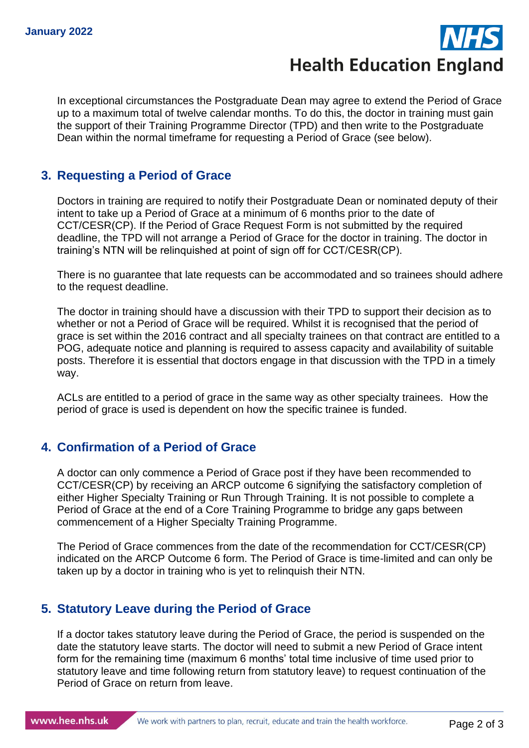# **Health Education England**

In exceptional circumstances the Postgraduate Dean may agree to extend the Period of Grace up to a maximum total of twelve calendar months. To do this, the doctor in training must gain the support of their Training Programme Director (TPD) and then write to the Postgraduate Dean within the normal timeframe for requesting a Period of Grace (see below).

#### **3. Requesting a Period of Grace**

Doctors in training are required to notify their Postgraduate Dean or nominated deputy of their intent to take up a Period of Grace at a minimum of 6 months prior to the date of CCT/CESR(CP). If the Period of Grace Request Form is not submitted by the required deadline, the TPD will not arrange a Period of Grace for the doctor in training. The doctor in training's NTN will be relinquished at point of sign off for CCT/CESR(CP).

There is no guarantee that late requests can be accommodated and so trainees should adhere to the request deadline.

The doctor in training should have a discussion with their TPD to support their decision as to whether or not a Period of Grace will be required. Whilst it is recognised that the period of grace is set within the 2016 contract and all specialty trainees on that contract are entitled to a POG, adequate notice and planning is required to assess capacity and availability of suitable posts. Therefore it is essential that doctors engage in that discussion with the TPD in a timely way.

ACLs are entitled to a period of grace in the same way as other specialty trainees. How the period of grace is used is dependent on how the specific trainee is funded.

#### **4. Confirmation of a Period of Grace**

A doctor can only commence a Period of Grace post if they have been recommended to CCT/CESR(CP) by receiving an ARCP outcome 6 signifying the satisfactory completion of either Higher Specialty Training or Run Through Training. It is not possible to complete a Period of Grace at the end of a Core Training Programme to bridge any gaps between commencement of a Higher Specialty Training Programme.

The Period of Grace commences from the date of the recommendation for CCT/CESR(CP) indicated on the ARCP Outcome 6 form. The Period of Grace is time-limited and can only be taken up by a doctor in training who is yet to relinquish their NTN.

### **5. Statutory Leave during the Period of Grace**

If a doctor takes statutory leave during the Period of Grace, the period is suspended on the date the statutory leave starts. The doctor will need to submit a new Period of Grace intent form for the remaining time (maximum 6 months' total time inclusive of time used prior to statutory leave and time following return from statutory leave) to request continuation of the Period of Grace on return from leave.